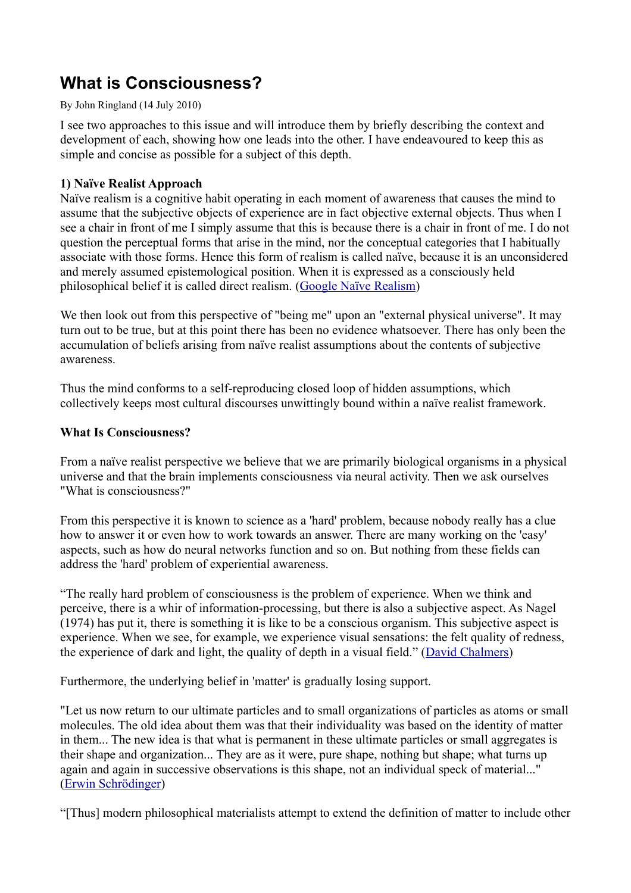# **What is Consciousness?**

#### By John Ringland (14 July 2010)

I see two approaches to this issue and will introduce them by briefly describing the context and development of each, showing how one leads into the other. I have endeavoured to keep this as simple and concise as possible for a subject of this depth.

# **1) Naïve Realist Approach**

Naïve realism is a cognitive habit operating in each moment of awareness that causes the mind to assume that the subjective objects of experience are in fact objective external objects. Thus when I see a chair in front of me I simply assume that this is because there is a chair in front of me. I do not question the perceptual forms that arise in the mind, nor the conceptual categories that I habitually associate with those forms. Hence this form of realism is called naïve, because it is an unconsidered and merely assumed epistemological position. When it is expressed as a consciously held philosophical belief it is called direct realism. [\(Google Naïve Realism\)](http://google.com/search?q=naive+realism)

We then look out from this perspective of "being me" upon an "external physical universe". It may turn out to be true, but at this point there has been no evidence whatsoever. There has only been the accumulation of beliefs arising from naïve realist assumptions about the contents of subjective awareness.

Thus the mind conforms to a self-reproducing closed loop of hidden assumptions, which collectively keeps most cultural discourses unwittingly bound within a naïve realist framework.

# **What Is Consciousness?**

From a naïve realist perspective we believe that we are primarily biological organisms in a physical universe and that the brain implements consciousness via neural activity. Then we ask ourselves "What is consciousness?"

From this perspective it is known to science as a 'hard' problem, because nobody really has a clue how to answer it or even how to work towards an answer. There are many working on the 'easy' aspects, such as how do neural networks function and so on. But nothing from these fields can address the 'hard' problem of experiential awareness.

"The really hard problem of consciousness is the problem of experience. When we think and perceive, there is a whir of information-processing, but there is also a subjective aspect. As Nagel (1974) has put it, there is something it is like to be a conscious organism. This subjective aspect is experience. When we see, for example, we experience visual sensations: the felt quality of redness, the experience of dark and light, the quality of depth in a visual field." [\(David Chalmers\)](http://www.imprint.co.uk/chalmers.html)

Furthermore, the underlying belief in 'matter' is gradually losing support.

"Let us now return to our ultimate particles and to small organizations of particles as atoms or small molecules. The old idea about them was that their individuality was based on the identity of matter in them... The new idea is that what is permanent in these ultimate particles or small aggregates is their shape and organization... They are as it were, pure shape, nothing but shape; what turns up again and again in successive observations is this shape, not an individual speck of material..." [\(Erwin Schrödinger\)](https://en.wikipedia.org/wiki/Erwin_Schr%C3%B6dinger)

"[Thus] modern philosophical materialists attempt to extend the definition of matter to include other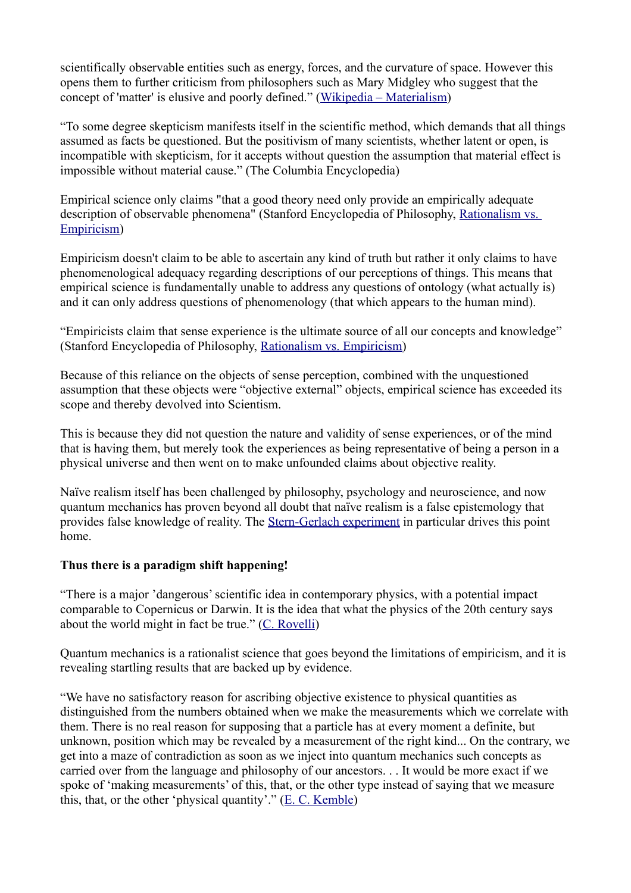scientifically observable entities such as energy, forces, and the curvature of space. However this opens them to further criticism from philosophers such as Mary Midgley who suggest that the concept of 'matter' is elusive and poorly defined." [\(Wikipedia – Materialism\)](https://en.wikipedia.org/wiki/Materialism)

"To some degree skepticism manifests itself in the scientific method, which demands that all things assumed as facts be questioned. But the positivism of many scientists, whether latent or open, is incompatible with skepticism, for it accepts without question the assumption that material effect is impossible without material cause." (The Columbia Encyclopedia)

Empirical science only claims "that a good theory need only provide an empirically adequate description of observable phenomena" (Stanford Encyclopedia of Philosophy, [Rationalism vs.](http://plato.stanford.edu/entries/rationalism-empiricism/)  [Empiricism\)](http://plato.stanford.edu/entries/rationalism-empiricism/)

Empiricism doesn't claim to be able to ascertain any kind of truth but rather it only claims to have phenomenological adequacy regarding descriptions of our perceptions of things. This means that empirical science is fundamentally unable to address any questions of ontology (what actually is) and it can only address questions of phenomenology (that which appears to the human mind).

"Empiricists claim that sense experience is the ultimate source of all our concepts and knowledge" (Stanford Encyclopedia of Philosophy, [Rationalism vs. Empiricism\)](http://plato.stanford.edu/entries/rationalism-empiricism/)

Because of this reliance on the objects of sense perception, combined with the unquestioned assumption that these objects were "objective external" objects, empirical science has exceeded its scope and thereby devolved into Scientism.

This is because they did not question the nature and validity of sense experiences, or of the mind that is having them, but merely took the experiences as being representative of being a person in a physical universe and then went on to make unfounded claims about objective reality.

Naïve realism itself has been challenged by philosophy, psychology and neuroscience, and now quantum mechanics has proven beyond all doubt that naïve realism is a false epistemology that provides false knowledge of reality. The [Stern-Gerlach experiment](https://encrypted.google.com/search?q=stern-gerlach+experiment+explanation) in particular drives this point home.

## **Thus there is a paradigm shift happening!**

"There is a major 'dangerous' scientific idea in contemporary physics, with a potential impact comparable to Copernicus or Darwin. It is the idea that what the physics of the 20th century says about the world might in fact be true." [\(C. Rovelli\)](http://www.edge.org/q2006/q06_9.html)

Quantum mechanics is a rationalist science that goes beyond the limitations of empiricism, and it is revealing startling results that are backed up by evidence.

"We have no satisfactory reason for ascribing objective existence to physical quantities as distinguished from the numbers obtained when we make the measurements which we correlate with them. There is no real reason for supposing that a particle has at every moment a definite, but unknown, position which may be revealed by a measurement of the right kind... On the contrary, we get into a maze of contradiction as soon as we inject into quantum mechanics such concepts as carried over from the language and philosophy of our ancestors. . . It would be more exact if we spoke of 'making measurements' of this, that, or the other type instead of saying that we measure this, that, or the other 'physical quantity'." [\(E. C. Kemble\)](http://books.google.com.au/books?id=IjCNzbJYONIC&pg=PA17)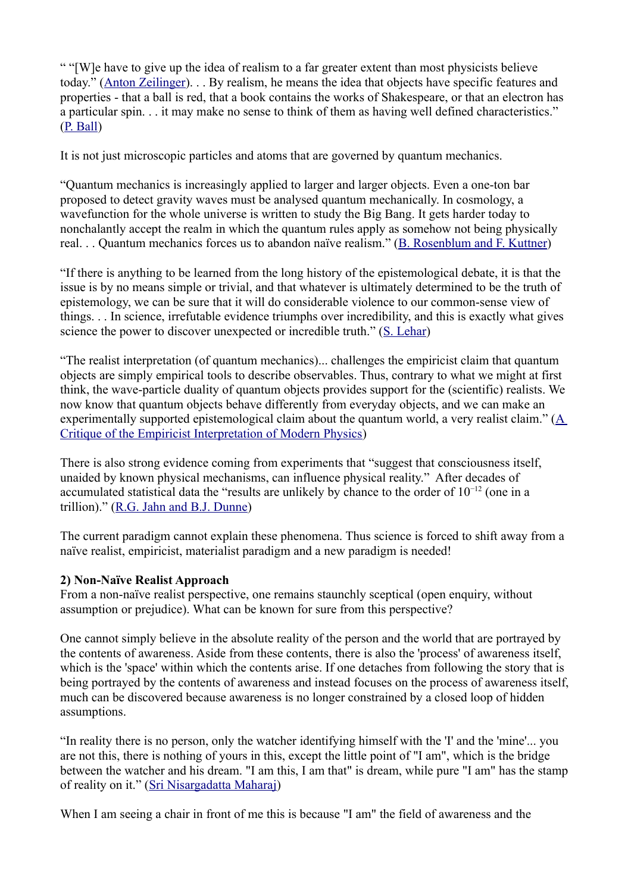" "[W]e have to give up the idea of realism to a far greater extent than most physicists believe today." [\(Anton Zeilinger\)](https://encrypted.google.com/search?q=Anton+Zeilinger). . . By realism, he means the idea that objects have specific features and properties - that a ball is red, that a book contains the works of Shakespeare, or that an electron has a particular spin. . . it may make no sense to think of them as having well defined characteristics." [\(P. Ball\)](http://www.nature.com/news/2007/070416/full/news070416-9.html)

It is not just microscopic particles and atoms that are governed by quantum mechanics.

"Quantum mechanics is increasingly applied to larger and larger objects. Even a one-ton bar proposed to detect gravity waves must be analysed quantum mechanically. In cosmology, a wavefunction for the whole universe is written to study the Big Bang. It gets harder today to nonchalantly accept the realm in which the quantum rules apply as somehow not being physically real. . . Quantum mechanics forces us to abandon naïve realism." [\(B. Rosenblum and F. Kuttner\)](http://www.amazon.com/Quantum-Enigma-Physics-Encounters-Consciousness/dp/0199753814)

"If there is anything to be learned from the long history of the epistemological debate, it is that the issue is by no means simple or trivial, and that whatever is ultimately determined to be the truth of epistemology, we can be sure that it will do considerable violence to our common-sense view of things. . . In science, irrefutable evidence triumphs over incredibility, and this is exactly what gives science the power to discover unexpected or incredible truth." [\(S. Lehar\)](http://cns-alumni.bu.edu/~slehar/webstuff/consc1/consc1a.html)

"The realist interpretation (of quantum mechanics)... challenges the empiricist claim that quantum objects are simply empirical tools to describe observables. Thus, contrary to what we might at first think, the wave-particle duality of quantum objects provides support for the (scientific) realists. We now know that quantum objects behave differently from everyday objects, and we can make an experimentally supported epistemological claim about the quantum world, a very realist claim." [\(A](http://robotics.usc.edu/~geoff/files/quantumMechanics.pdf)  [Critique of the Empiricist Interpretation of Modern Physics\)](http://robotics.usc.edu/~geoff/files/quantumMechanics.pdf)

There is also strong evidence coming from experiments that "suggest that consciousness itself, unaided by known physical mechanisms, can influence physical reality." After decades of accumulated statistical data the "results are unlikely by chance to the order of 10−12 (one in a trillion)." [\(R.G. Jahn and B.J. Dunne\)](http://www.icrl.org/pdf/PEARproposition.pdf)

The current paradigm cannot explain these phenomena. Thus science is forced to shift away from a naïve realist, empiricist, materialist paradigm and a new paradigm is needed!

## **2) Non-Naïve Realist Approach**

From a non-naïve realist perspective, one remains staunchly sceptical (open enquiry, without assumption or prejudice). What can be known for sure from this perspective?

One cannot simply believe in the absolute reality of the person and the world that are portrayed by the contents of awareness. Aside from these contents, there is also the 'process' of awareness itself, which is the 'space' within which the contents arise. If one detaches from following the story that is being portrayed by the contents of awareness and instead focuses on the process of awareness itself, much can be discovered because awareness is no longer constrained by a closed loop of hidden assumptions.

"In reality there is no person, only the watcher identifying himself with the 'I' and the 'mine'... you are not this, there is nothing of yours in this, except the little point of "I am", which is the bridge between the watcher and his dream. "I am this, I am that" is dream, while pure "I am" has the stamp of reality on it." [\(Sri Nisargadatta Maharaj\)](http://www.anandavala.info/miscl/I_Am_That.pdf)

When I am seeing a chair in front of me this is because "I am" the field of awareness and the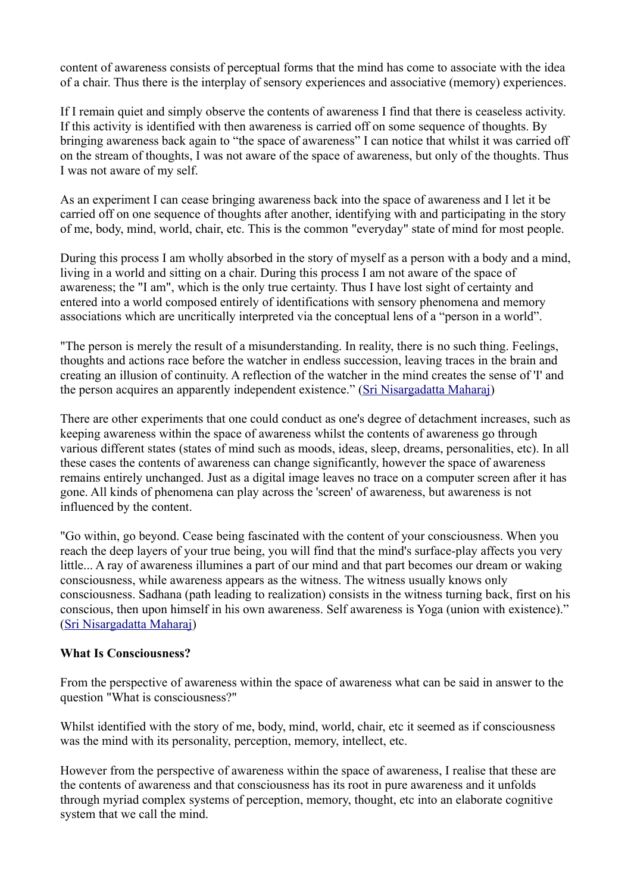content of awareness consists of perceptual forms that the mind has come to associate with the idea of a chair. Thus there is the interplay of sensory experiences and associative (memory) experiences.

If I remain quiet and simply observe the contents of awareness I find that there is ceaseless activity. If this activity is identified with then awareness is carried off on some sequence of thoughts. By bringing awareness back again to "the space of awareness" I can notice that whilst it was carried off on the stream of thoughts, I was not aware of the space of awareness, but only of the thoughts. Thus I was not aware of my self.

As an experiment I can cease bringing awareness back into the space of awareness and I let it be carried off on one sequence of thoughts after another, identifying with and participating in the story of me, body, mind, world, chair, etc. This is the common "everyday" state of mind for most people.

During this process I am wholly absorbed in the story of myself as a person with a body and a mind, living in a world and sitting on a chair. During this process I am not aware of the space of awareness; the "I am", which is the only true certainty. Thus I have lost sight of certainty and entered into a world composed entirely of identifications with sensory phenomena and memory associations which are uncritically interpreted via the conceptual lens of a "person in a world".

"The person is merely the result of a misunderstanding. In reality, there is no such thing. Feelings, thoughts and actions race before the watcher in endless succession, leaving traces in the brain and creating an illusion of continuity. A reflection of the watcher in the mind creates the sense of 'I' and the person acquires an apparently independent existence." [\(Sri Nisargadatta Maharaj\)](http://www.anandavala.info/miscl/I_Am_That.pdf)

There are other experiments that one could conduct as one's degree of detachment increases, such as keeping awareness within the space of awareness whilst the contents of awareness go through various different states (states of mind such as moods, ideas, sleep, dreams, personalities, etc). In all these cases the contents of awareness can change significantly, however the space of awareness remains entirely unchanged. Just as a digital image leaves no trace on a computer screen after it has gone. All kinds of phenomena can play across the 'screen' of awareness, but awareness is not influenced by the content.

"Go within, go beyond. Cease being fascinated with the content of your consciousness. When you reach the deep layers of your true being, you will find that the mind's surface-play affects you very little... A ray of awareness illumines a part of our mind and that part becomes our dream or waking consciousness, while awareness appears as the witness. The witness usually knows only consciousness. Sadhana (path leading to realization) consists in the witness turning back, first on his conscious, then upon himself in his own awareness. Self awareness is Yoga (union with existence)." [\(Sri Nisargadatta Maharaj\)](http://www.anandavala.info/miscl/I_Am_That.pdf)

## **What Is Consciousness?**

From the perspective of awareness within the space of awareness what can be said in answer to the question "What is consciousness?"

Whilst identified with the story of me, body, mind, world, chair, etc it seemed as if consciousness was the mind with its personality, perception, memory, intellect, etc.

However from the perspective of awareness within the space of awareness, I realise that these are the contents of awareness and that consciousness has its root in pure awareness and it unfolds through myriad complex systems of perception, memory, thought, etc into an elaborate cognitive system that we call the mind.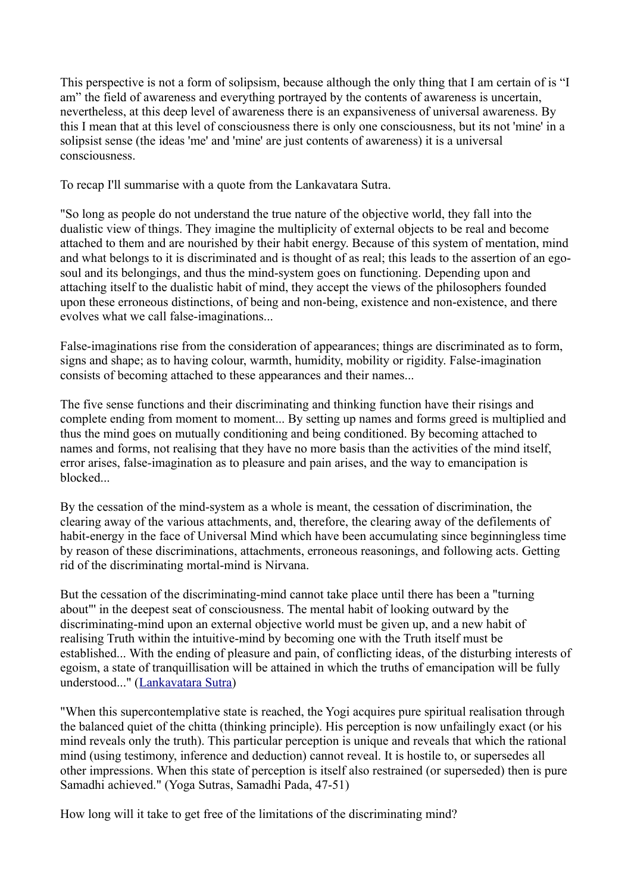This perspective is not a form of solipsism, because although the only thing that I am certain of is "I am" the field of awareness and everything portrayed by the contents of awareness is uncertain, nevertheless, at this deep level of awareness there is an expansiveness of universal awareness. By this I mean that at this level of consciousness there is only one consciousness, but its not 'mine' in a solipsist sense (the ideas 'me' and 'mine' are just contents of awareness) it is a universal consciousness.

To recap I'll summarise with a quote from the Lankavatara Sutra.

"So long as people do not understand the true nature of the objective world, they fall into the dualistic view of things. They imagine the multiplicity of external objects to be real and become attached to them and are nourished by their habit energy. Because of this system of mentation, mind and what belongs to it is discriminated and is thought of as real; this leads to the assertion of an egosoul and its belongings, and thus the mind-system goes on functioning. Depending upon and attaching itself to the dualistic habit of mind, they accept the views of the philosophers founded upon these erroneous distinctions, of being and non-being, existence and non-existence, and there evolves what we call false-imaginations...

False-imaginations rise from the consideration of appearances; things are discriminated as to form, signs and shape; as to having colour, warmth, humidity, mobility or rigidity. False-imagination consists of becoming attached to these appearances and their names...

The five sense functions and their discriminating and thinking function have their risings and complete ending from moment to moment... By setting up names and forms greed is multiplied and thus the mind goes on mutually conditioning and being conditioned. By becoming attached to names and forms, not realising that they have no more basis than the activities of the mind itself, error arises, false-imagination as to pleasure and pain arises, and the way to emancipation is blocked...

By the cessation of the mind-system as a whole is meant, the cessation of discrimination, the clearing away of the various attachments, and, therefore, the clearing away of the defilements of habit-energy in the face of Universal Mind which have been accumulating since beginningless time by reason of these discriminations, attachments, erroneous reasonings, and following acts. Getting rid of the discriminating mortal-mind is Nirvana.

But the cessation of the discriminating-mind cannot take place until there has been a "turning about"' in the deepest seat of consciousness. The mental habit of looking outward by the discriminating-mind upon an external objective world must be given up, and a new habit of realising Truth within the intuitive-mind by becoming one with the Truth itself must be established... With the ending of pleasure and pain, of conflicting ideas, of the disturbing interests of egoism, a state of tranquillisation will be attained in which the truths of emancipation will be fully understood..." [\(Lankavatara Sutra\)](http://www.anandavala.info/miscl/TheLankavataraSutra.pdf)

"When this supercontemplative state is reached, the Yogi acquires pure spiritual realisation through the balanced quiet of the chitta (thinking principle). His perception is now unfailingly exact (or his mind reveals only the truth). This particular perception is unique and reveals that which the rational mind (using testimony, inference and deduction) cannot reveal. It is hostile to, or supersedes all other impressions. When this state of perception is itself also restrained (or superseded) then is pure Samadhi achieved." (Yoga Sutras, Samadhi Pada, 47-51)

How long will it take to get free of the limitations of the discriminating mind?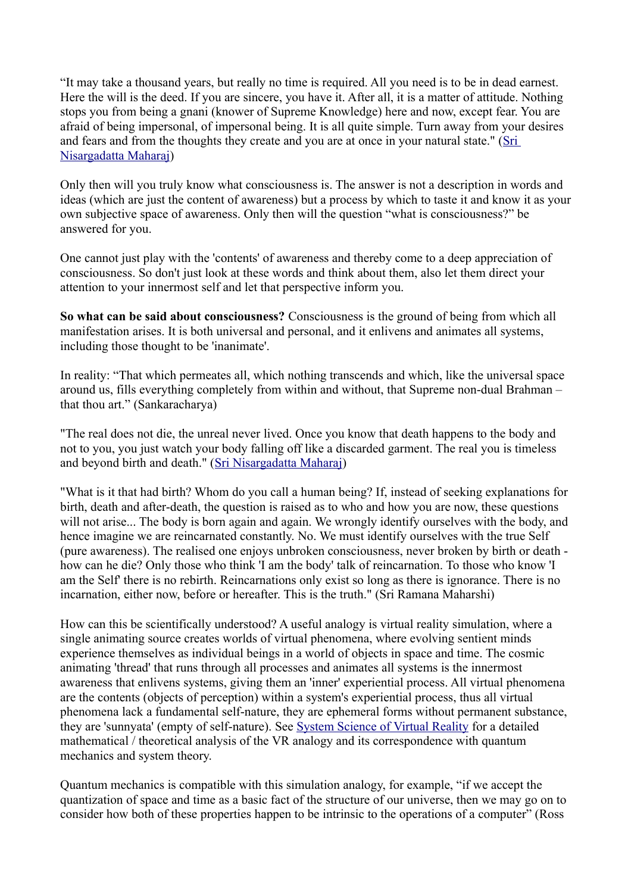"It may take a thousand years, but really no time is required. All you need is to be in dead earnest. Here the will is the deed. If you are sincere, you have it. After all, it is a matter of attitude. Nothing stops you from being a gnani (knower of Supreme Knowledge) here and now, except fear. You are afraid of being impersonal, of impersonal being. It is all quite simple. Turn away from your desires and fears and from the thoughts they create and you are at once in your natural state." [\(Sri](http://www.anandavala.info/miscl/I_Am_That.pdf)  [Nisargadatta Maharaj\)](http://www.anandavala.info/miscl/I_Am_That.pdf)

Only then will you truly know what consciousness is. The answer is not a description in words and ideas (which are just the content of awareness) but a process by which to taste it and know it as your own subjective space of awareness. Only then will the question "what is consciousness?" be answered for you.

One cannot just play with the 'contents' of awareness and thereby come to a deep appreciation of consciousness. So don't just look at these words and think about them, also let them direct your attention to your innermost self and let that perspective inform you.

**So what can be said about consciousness?** Consciousness is the ground of being from which all manifestation arises. It is both universal and personal, and it enlivens and animates all systems, including those thought to be 'inanimate'.

In reality: "That which permeates all, which nothing transcends and which, like the universal space around us, fills everything completely from within and without, that Supreme non-dual Brahman – that thou art." (Sankaracharya)

"The real does not die, the unreal never lived. Once you know that death happens to the body and not to you, you just watch your body falling off like a discarded garment. The real you is timeless and beyond birth and death." [\(Sri Nisargadatta Maharaj\)](http://www.anandavala.info/miscl/I_Am_That.pdf)

"What is it that had birth? Whom do you call a human being? If, instead of seeking explanations for birth, death and after-death, the question is raised as to who and how you are now, these questions will not arise... The body is born again and again. We wrongly identify ourselves with the body, and hence imagine we are reincarnated constantly. No. We must identify ourselves with the true Self (pure awareness). The realised one enjoys unbroken consciousness, never broken by birth or death how can he die? Only those who think 'I am the body' talk of reincarnation. To those who know 'I am the Self' there is no rebirth. Reincarnations only exist so long as there is ignorance. There is no incarnation, either now, before or hereafter. This is the truth." (Sri Ramana Maharshi)

How can this be scientifically understood? A useful analogy is virtual reality simulation, where a single animating source creates worlds of virtual phenomena, where evolving sentient minds experience themselves as individual beings in a world of objects in space and time. The cosmic animating 'thread' that runs through all processes and animates all systems is the innermost awareness that enlivens systems, giving them an 'inner' experiential process. All virtual phenomena are the contents (objects of perception) within a system's experiential process, thus all virtual phenomena lack a fundamental self-nature, they are ephemeral forms without permanent substance, they are 'sunnyata' (empty of self-nature). See [System Science of Virtual Reality](http://anandavala.info/SystemSimulation.pdf) for a detailed mathematical / theoretical analysis of the VR analogy and its correspondence with quantum mechanics and system theory.

Quantum mechanics is compatible with this simulation analogy, for example, "if we accept the quantization of space and time as a basic fact of the structure of our universe, then we may go on to consider how both of these properties happen to be intrinsic to the operations of a computer" (Ross